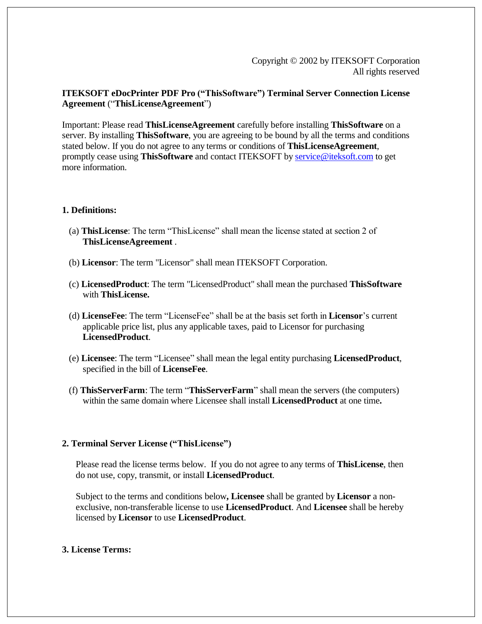## **ITEKSOFT eDocPrinter PDF Pro ("ThisSoftware") Terminal Server Connection License Agreement** ("**ThisLicenseAgreement**")

Important: Please read **ThisLicenseAgreement** carefully before installing **ThisSoftware** on a server. By installing **ThisSoftware**, you are agreeing to be bound by all the terms and conditions stated below. If you do not agree to any terms or conditions of **ThisLicenseAgreement**, promptly cease using **ThisSoftware** and contact ITEKSOFT by [service@iteksoft.com](mailto:service@iteksoft.com) to get more information.

### **1. Definitions:**

- (a) **ThisLicense**: The term "ThisLicense" shall mean the license stated at section 2 of **ThisLicenseAgreement** .
- (b) **Licensor**: The term "Licensor" shall mean ITEKSOFT Corporation.
- (c) **LicensedProduct**: The term "LicensedProduct" shall mean the purchased **ThisSoftware** with **ThisLicense.**
- (d) **LicenseFee**: The term "LicenseFee" shall be at the basis set forth in **Licensor**'s current applicable price list, plus any applicable taxes, paid to Licensor for purchasing **LicensedProduct**.
- (e) **Licensee**: The term "Licensee" shall mean the legal entity purchasing **LicensedProduct**, specified in the bill of **LicenseFee**.
- (f) **ThisServerFarm**: The term "**ThisServerFarm**" shall mean the servers (the computers) within the same domain where Licensee shall install **LicensedProduct** at one time**.**

# **2. Terminal Server License ("ThisLicense")**

Please read the license terms below. If you do not agree to any terms of **ThisLicense**, then do not use, copy, transmit, or install **LicensedProduct**.

Subject to the terms and conditions below**, Licensee** shall be granted by **Licensor** a nonexclusive, non-transferable license to use **LicensedProduct**. And **Licensee** shall be hereby licensed by **Licensor** to use **LicensedProduct**.

# **3. License Terms:**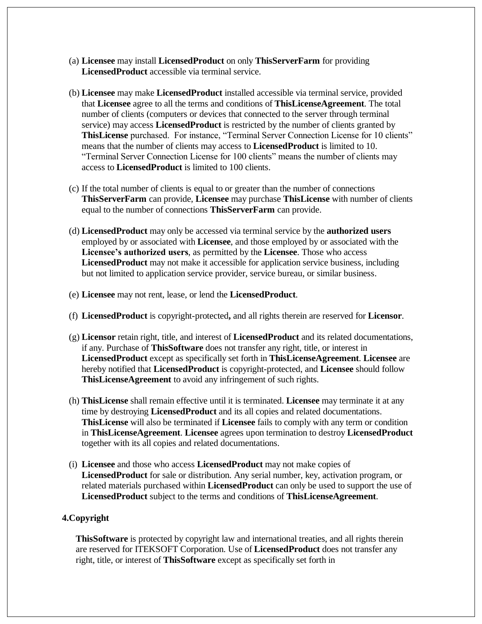- (a) **Licensee** may install **LicensedProduct** on only **ThisServerFarm** for providing **LicensedProduct** accessible via terminal service.
- (b) **Licensee** may make **LicensedProduct** installed accessible via terminal service, provided that **Licensee** agree to all the terms and conditions of **ThisLicenseAgreement**. The total number of clients (computers or devices that connected to the server through terminal service) may access **LicensedProduct** is restricted by the number of clients granted by **ThisLicense** purchased. For instance, "Terminal Server Connection License for 10 clients" means that the number of clients may access to **LicensedProduct** is limited to 10. "Terminal Server Connection License for 100 clients" means the number of clients may access to **LicensedProduct** is limited to 100 clients.
- (c) If the total number of clients is equal to or greater than the number of connections **ThisServerFarm** can provide, **Licensee** may purchase **ThisLicense** with number of clients equal to the number of connections **ThisServerFarm** can provide.
- (d) **LicensedProduct** may only be accessed via terminal service by the **authorized users** employed by or associated with **Licensee**, and those employed by or associated with the **Licensee's authorized users**, as permitted by the **Licensee**. Those who access **LicensedProduct** may not make it accessible for application service business, including but not limited to application service provider, service bureau, or similar business.
- (e) **Licensee** may not rent, lease, or lend the **LicensedProduct**.
- (f) **LicensedProduct** is copyright-protected**,** and all rights therein are reserved for **Licensor**.
- (g) **Licensor** retain right, title, and interest of **LicensedProduct** and its related documentations, if any. Purchase of **ThisSoftware** does not transfer any right, title, or interest in **LicensedProduct** except as specifically set forth in **ThisLicenseAgreement**. **Licensee** are hereby notified that **LicensedProduct** is copyright-protected, and **Licensee** should follow **ThisLicenseAgreement** to avoid any infringement of such rights.
- (h) **ThisLicense** shall remain effective until it is terminated. **Licensee** may terminate it at any time by destroying **LicensedProduct** and its all copies and related documentations. **ThisLicense** will also be terminated if **Licensee** fails to comply with any term or condition in **ThisLicenseAgreement**. **Licensee** agrees upon termination to destroy **LicensedProduct** together with its all copies and related documentations.
- (i) **Licensee** and those who access **LicensedProduct** may not make copies of **LicensedProduct** for sale or distribution. Any serial number, key, activation program, or related materials purchased within **LicensedProduct** can only be used to support the use of **LicensedProduct** subject to the terms and conditions of **ThisLicenseAgreement**.

### **4.Copyright**

**ThisSoftware** is protected by copyright law and international treaties, and all rights therein are reserved for ITEKSOFT Corporation. Use of **LicensedProduct** does not transfer any right, title, or interest of **ThisSoftware** except as specifically set forth in